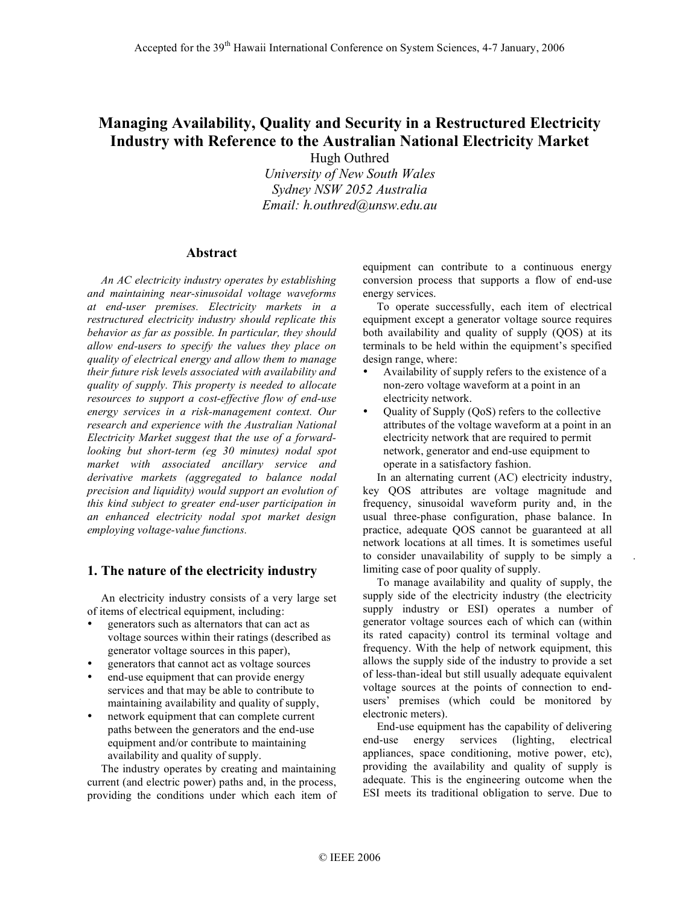# **Managing Availability, Quality and Security in a Restructured Electricity Industry with Reference to the Australian National Electricity Market**

Hugh Outhred

*University of New South Wales Sydney NSW 2052 Australia Email: h.outhred@unsw.edu.au*

#### **Abstract**

*An AC electricity industry operates by establishing and maintaining near-sinusoidal voltage waveforms at end-user premises. Electricity markets in a restructured electricity industry should replicate this behavior as far as possible. In particular, they should allow end-users to specify the values they place on quality of electrical energy and allow them to manage their future risk levels associated with availability and quality of supply. This property is needed to allocate resources to support a cost-effective flow of end-use energy services in a risk-management context. Our research and experience with the Australian National Electricity Market suggest that the use of a forwardlooking but short-term (eg 30 minutes) nodal spot market with associated ancillary service and derivative markets (aggregated to balance nodal precision and liquidity) would support an evolution of this kind subject to greater end-user participation in an enhanced electricity nodal spot market design employing voltage-value functions.*

## **1. The nature of the electricity industry**

An electricity industry consists of a very large set of items of electrical equipment, including:

- generators such as alternators that can act as voltage sources within their ratings (described as generator voltage sources in this paper),
- generators that cannot act as voltage sources
- end-use equipment that can provide energy services and that may be able to contribute to maintaining availability and quality of supply,
- network equipment that can complete current paths between the generators and the end-use equipment and/or contribute to maintaining availability and quality of supply.

The industry operates by creating and maintaining current (and electric power) paths and, in the process, providing the conditions under which each item of equipment can contribute to a continuous energy conversion process that supports a flow of end-use energy services.

To operate successfully, each item of electrical equipment except a generator voltage source requires both availability and quality of supply (QOS) at its terminals to be held within the equipment's specified design range, where:

- Availability of supply refers to the existence of a non-zero voltage waveform at a point in an electricity network.
- Quality of Supply (QoS) refers to the collective attributes of the voltage waveform at a point in an electricity network that are required to permit network, generator and end-use equipment to operate in a satisfactory fashion.

In an alternating current (AC) electricity industry, key QOS attributes are voltage magnitude and frequency, sinusoidal waveform purity and, in the usual three-phase configuration, phase balance. In practice, adequate QOS cannot be guaranteed at all network locations at all times. It is sometimes useful to consider unavailability of supply to be simply a limiting case of poor quality of supply.

*.*

To manage availability and quality of supply, the supply side of the electricity industry (the electricity supply industry or ESI) operates a number of generator voltage sources each of which can (within its rated capacity) control its terminal voltage and frequency. With the help of network equipment, this allows the supply side of the industry to provide a set of less-than-ideal but still usually adequate equivalent voltage sources at the points of connection to endusers' premises (which could be monitored by electronic meters).

End-use equipment has the capability of delivering end-use energy services (lighting, electrical appliances, space conditioning, motive power, etc), providing the availability and quality of supply is adequate. This is the engineering outcome when the ESI meets its traditional obligation to serve. Due to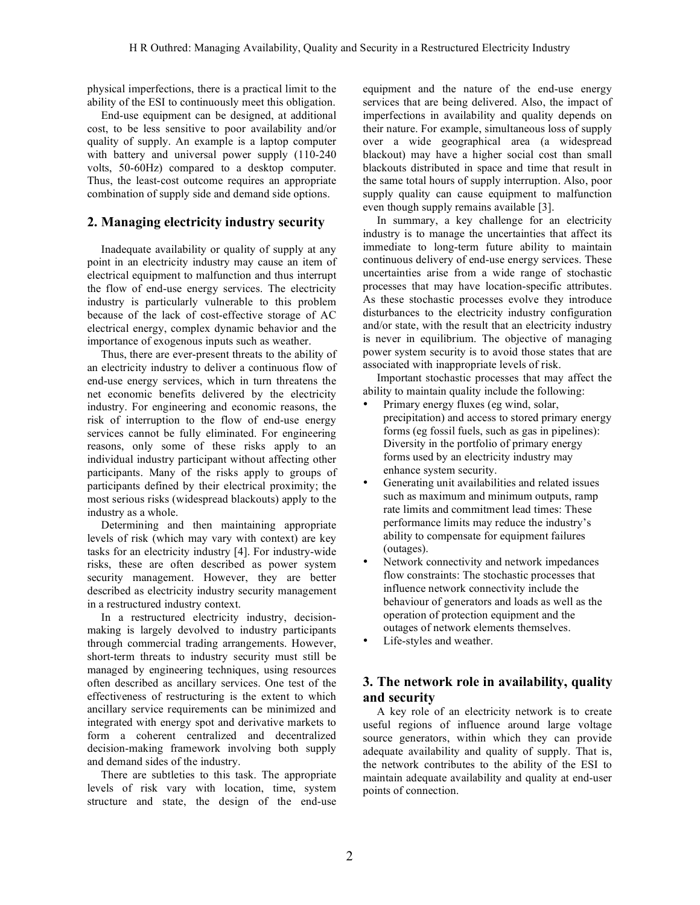physical imperfections, there is a practical limit to the ability of the ESI to continuously meet this obligation.

End-use equipment can be designed, at additional cost, to be less sensitive to poor availability and/or quality of supply. An example is a laptop computer with battery and universal power supply  $(110-240)$ volts, 50-60Hz) compared to a desktop computer. Thus, the least-cost outcome requires an appropriate combination of supply side and demand side options.

## **2. Managing electricity industry security**

Inadequate availability or quality of supply at any point in an electricity industry may cause an item of electrical equipment to malfunction and thus interrupt the flow of end-use energy services. The electricity industry is particularly vulnerable to this problem because of the lack of cost-effective storage of AC electrical energy, complex dynamic behavior and the importance of exogenous inputs such as weather.

Thus, there are ever-present threats to the ability of an electricity industry to deliver a continuous flow of end-use energy services, which in turn threatens the net economic benefits delivered by the electricity industry. For engineering and economic reasons, the risk of interruption to the flow of end-use energy services cannot be fully eliminated. For engineering reasons, only some of these risks apply to an individual industry participant without affecting other participants. Many of the risks apply to groups of participants defined by their electrical proximity; the most serious risks (widespread blackouts) apply to the industry as a whole.

Determining and then maintaining appropriate levels of risk (which may vary with context) are key tasks for an electricity industry [4]. For industry-wide risks, these are often described as power system security management. However, they are better described as electricity industry security management in a restructured industry context.

In a restructured electricity industry, decisionmaking is largely devolved to industry participants through commercial trading arrangements. However, short-term threats to industry security must still be managed by engineering techniques, using resources often described as ancillary services. One test of the effectiveness of restructuring is the extent to which ancillary service requirements can be minimized and integrated with energy spot and derivative markets to form a coherent centralized and decentralized decision-making framework involving both supply and demand sides of the industry.

There are subtleties to this task. The appropriate levels of risk vary with location, time, system structure and state, the design of the end-use equipment and the nature of the end-use energy services that are being delivered. Also, the impact of imperfections in availability and quality depends on their nature. For example, simultaneous loss of supply over a wide geographical area (a widespread blackout) may have a higher social cost than small blackouts distributed in space and time that result in the same total hours of supply interruption. Also, poor supply quality can cause equipment to malfunction even though supply remains available [3].

In summary, a key challenge for an electricity industry is to manage the uncertainties that affect its immediate to long-term future ability to maintain continuous delivery of end-use energy services. These uncertainties arise from a wide range of stochastic processes that may have location-specific attributes. As these stochastic processes evolve they introduce disturbances to the electricity industry configuration and/or state, with the result that an electricity industry is never in equilibrium. The objective of managing power system security is to avoid those states that are associated with inappropriate levels of risk.

Important stochastic processes that may affect the ability to maintain quality include the following:

- Primary energy fluxes (eg wind, solar, precipitation) and access to stored primary energy forms (eg fossil fuels, such as gas in pipelines): Diversity in the portfolio of primary energy forms used by an electricity industry may enhance system security.
- Generating unit availabilities and related issues such as maximum and minimum outputs, ramp rate limits and commitment lead times: These performance limits may reduce the industry's ability to compensate for equipment failures (outages).
- Network connectivity and network impedances flow constraints: The stochastic processes that influence network connectivity include the behaviour of generators and loads as well as the operation of protection equipment and the outages of network elements themselves.
- Life-styles and weather.

# **3. The network role in availability, quality and security**

A key role of an electricity network is to create useful regions of influence around large voltage source generators, within which they can provide adequate availability and quality of supply. That is, the network contributes to the ability of the ESI to maintain adequate availability and quality at end-user points of connection.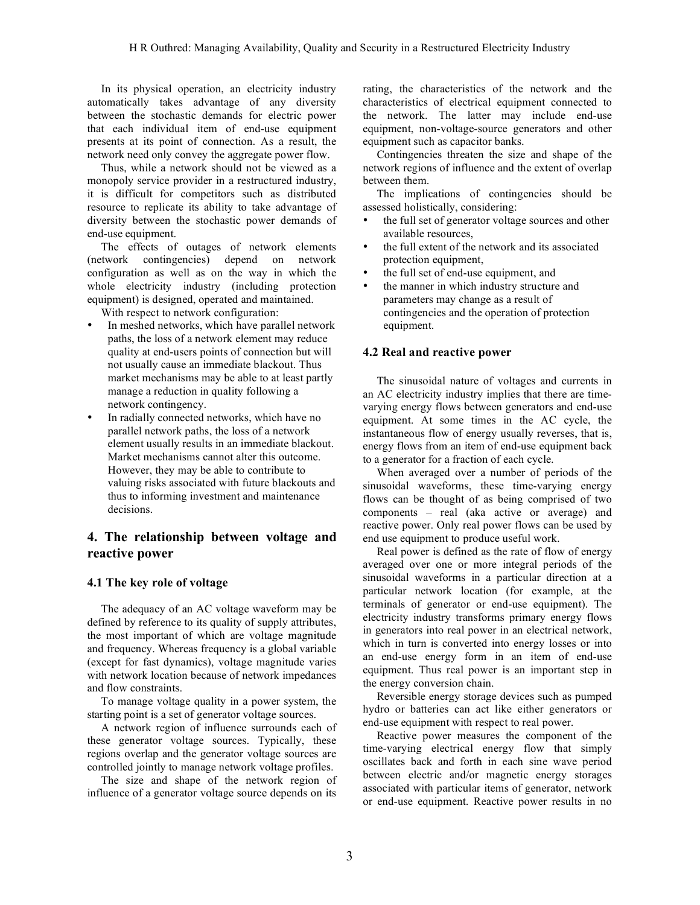In its physical operation, an electricity industry automatically takes advantage of any diversity between the stochastic demands for electric power that each individual item of end-use equipment presents at its point of connection. As a result, the network need only convey the aggregate power flow.

Thus, while a network should not be viewed as a monopoly service provider in a restructured industry, it is difficult for competitors such as distributed resource to replicate its ability to take advantage of diversity between the stochastic power demands of end-use equipment.

The effects of outages of network elements (network contingencies) depend on network configuration as well as on the way in which the whole electricity industry (including protection equipment) is designed, operated and maintained.

With respect to network configuration:

- In meshed networks, which have parallel network paths, the loss of a network element may reduce quality at end-users points of connection but will not usually cause an immediate blackout. Thus market mechanisms may be able to at least partly manage a reduction in quality following a network contingency.
- In radially connected networks, which have no parallel network paths, the loss of a network element usually results in an immediate blackout. Market mechanisms cannot alter this outcome. However, they may be able to contribute to valuing risks associated with future blackouts and thus to informing investment and maintenance decisions.

## **4. The relationship between voltage and reactive power**

#### **4.1 The key role of voltage**

The adequacy of an AC voltage waveform may be defined by reference to its quality of supply attributes, the most important of which are voltage magnitude and frequency. Whereas frequency is a global variable (except for fast dynamics), voltage magnitude varies with network location because of network impedances and flow constraints.

To manage voltage quality in a power system, the starting point is a set of generator voltage sources.

A network region of influence surrounds each of these generator voltage sources. Typically, these regions overlap and the generator voltage sources are controlled jointly to manage network voltage profiles.

The size and shape of the network region of influence of a generator voltage source depends on its rating, the characteristics of the network and the characteristics of electrical equipment connected to the network. The latter may include end-use equipment, non-voltage-source generators and other equipment such as capacitor banks.

Contingencies threaten the size and shape of the network regions of influence and the extent of overlap between them.

The implications of contingencies should be assessed holistically, considering:

- the full set of generator voltage sources and other available resources,
- the full extent of the network and its associated protection equipment,
- the full set of end-use equipment, and
- the manner in which industry structure and parameters may change as a result of contingencies and the operation of protection equipment.

#### **4.2 Real and reactive power**

The sinusoidal nature of voltages and currents in an AC electricity industry implies that there are timevarying energy flows between generators and end-use equipment. At some times in the AC cycle, the instantaneous flow of energy usually reverses, that is, energy flows from an item of end-use equipment back to a generator for a fraction of each cycle.

When averaged over a number of periods of the sinusoidal waveforms, these time-varying energy flows can be thought of as being comprised of two components – real (aka active or average) and reactive power. Only real power flows can be used by end use equipment to produce useful work.

Real power is defined as the rate of flow of energy averaged over one or more integral periods of the sinusoidal waveforms in a particular direction at a particular network location (for example, at the terminals of generator or end-use equipment). The electricity industry transforms primary energy flows in generators into real power in an electrical network, which in turn is converted into energy losses or into an end-use energy form in an item of end-use equipment. Thus real power is an important step in the energy conversion chain.

Reversible energy storage devices such as pumped hydro or batteries can act like either generators or end-use equipment with respect to real power.

Reactive power measures the component of the time-varying electrical energy flow that simply oscillates back and forth in each sine wave period between electric and/or magnetic energy storages associated with particular items of generator, network or end-use equipment. Reactive power results in no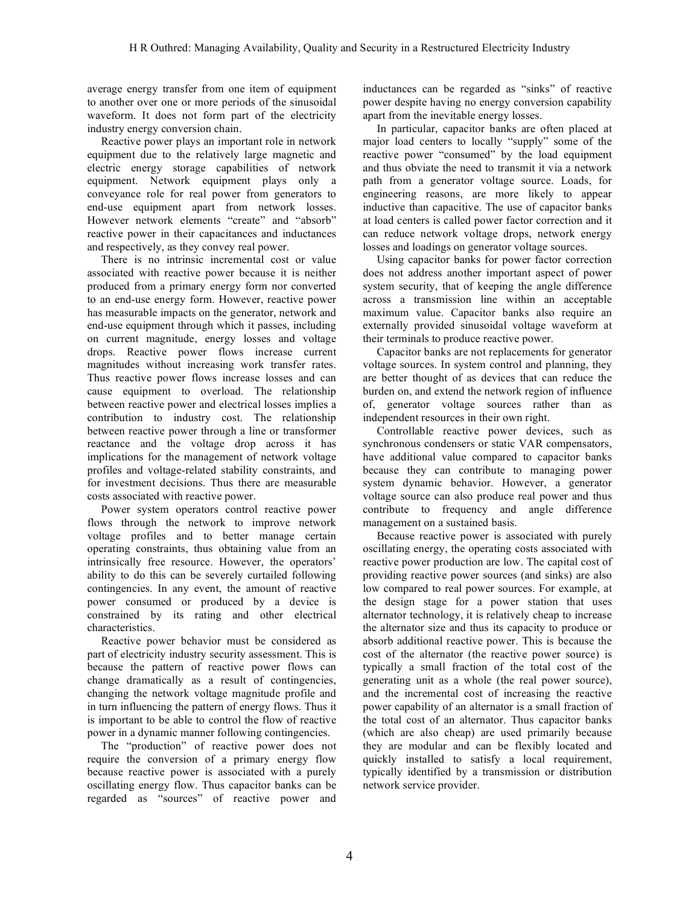average energy transfer from one item of equipment to another over one or more periods of the sinusoidal waveform. It does not form part of the electricity industry energy conversion chain.

Reactive power plays an important role in network equipment due to the relatively large magnetic and electric energy storage capabilities of network equipment. Network equipment plays only a conveyance role for real power from generators to end-use equipment apart from network losses. However network elements "create" and "absorb" reactive power in their capacitances and inductances and respectively, as they convey real power.

There is no intrinsic incremental cost or value associated with reactive power because it is neither produced from a primary energy form nor converted to an end-use energy form. However, reactive power has measurable impacts on the generator, network and end-use equipment through which it passes, including on current magnitude, energy losses and voltage drops. Reactive power flows increase current magnitudes without increasing work transfer rates. Thus reactive power flows increase losses and can cause equipment to overload. The relationship between reactive power and electrical losses implies a contribution to industry cost. The relationship between reactive power through a line or transformer reactance and the voltage drop across it has implications for the management of network voltage profiles and voltage-related stability constraints, and for investment decisions. Thus there are measurable costs associated with reactive power.

Power system operators control reactive power flows through the network to improve network voltage profiles and to better manage certain operating constraints, thus obtaining value from an intrinsically free resource. However, the operators' ability to do this can be severely curtailed following contingencies. In any event, the amount of reactive power consumed or produced by a device is constrained by its rating and other electrical characteristics.

Reactive power behavior must be considered as part of electricity industry security assessment. This is because the pattern of reactive power flows can change dramatically as a result of contingencies, changing the network voltage magnitude profile and in turn influencing the pattern of energy flows. Thus it is important to be able to control the flow of reactive power in a dynamic manner following contingencies.

The "production" of reactive power does not require the conversion of a primary energy flow because reactive power is associated with a purely oscillating energy flow. Thus capacitor banks can be regarded as "sources" of reactive power and inductances can be regarded as "sinks" of reactive power despite having no energy conversion capability apart from the inevitable energy losses.

In particular, capacitor banks are often placed at major load centers to locally "supply" some of the reactive power "consumed" by the load equipment and thus obviate the need to transmit it via a network path from a generator voltage source. Loads, for engineering reasons, are more likely to appear inductive than capacitive. The use of capacitor banks at load centers is called power factor correction and it can reduce network voltage drops, network energy losses and loadings on generator voltage sources.

Using capacitor banks for power factor correction does not address another important aspect of power system security, that of keeping the angle difference across a transmission line within an acceptable maximum value. Capacitor banks also require an externally provided sinusoidal voltage waveform at their terminals to produce reactive power.

Capacitor banks are not replacements for generator voltage sources. In system control and planning, they are better thought of as devices that can reduce the burden on, and extend the network region of influence of, generator voltage sources rather than as independent resources in their own right.

Controllable reactive power devices, such as synchronous condensers or static VAR compensators, have additional value compared to capacitor banks because they can contribute to managing power system dynamic behavior. However, a generator voltage source can also produce real power and thus contribute to frequency and angle difference management on a sustained basis.

Because reactive power is associated with purely oscillating energy, the operating costs associated with reactive power production are low. The capital cost of providing reactive power sources (and sinks) are also low compared to real power sources. For example, at the design stage for a power station that uses alternator technology, it is relatively cheap to increase the alternator size and thus its capacity to produce or absorb additional reactive power. This is because the cost of the alternator (the reactive power source) is typically a small fraction of the total cost of the generating unit as a whole (the real power source), and the incremental cost of increasing the reactive power capability of an alternator is a small fraction of the total cost of an alternator. Thus capacitor banks (which are also cheap) are used primarily because they are modular and can be flexibly located and quickly installed to satisfy a local requirement, typically identified by a transmission or distribution network service provider.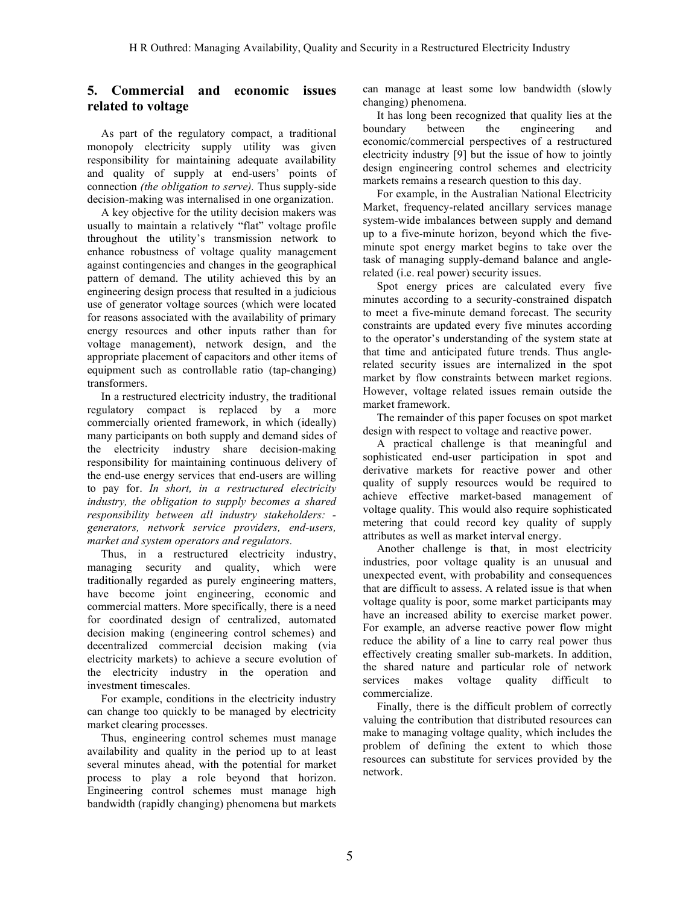## **5. Commercial and economic issues related to voltage**

As part of the regulatory compact, a traditional monopoly electricity supply utility was given responsibility for maintaining adequate availability and quality of supply at end-users' points of connection *(the obligation to serve).* Thus supply-side decision-making was internalised in one organization.

A key objective for the utility decision makers was usually to maintain a relatively "flat" voltage profile throughout the utility's transmission network to enhance robustness of voltage quality management against contingencies and changes in the geographical pattern of demand. The utility achieved this by an engineering design process that resulted in a judicious use of generator voltage sources (which were located for reasons associated with the availability of primary energy resources and other inputs rather than for voltage management), network design, and the appropriate placement of capacitors and other items of equipment such as controllable ratio (tap-changing) transformers.

In a restructured electricity industry, the traditional regulatory compact is replaced by a more commercially oriented framework, in which (ideally) many participants on both supply and demand sides of the electricity industry share decision-making responsibility for maintaining continuous delivery of the end-use energy services that end-users are willing to pay for. *In short, in a restructured electricity industry, the obligation to supply becomes a shared responsibility between all industry stakeholders: generators, network service providers, end-users, market and system operators and regulators.*

Thus, in a restructured electricity industry, managing security and quality, which were traditionally regarded as purely engineering matters, have become joint engineering, economic and commercial matters. More specifically, there is a need for coordinated design of centralized, automated decision making (engineering control schemes) and decentralized commercial decision making (via electricity markets) to achieve a secure evolution of the electricity industry in the operation and investment timescales.

For example, conditions in the electricity industry can change too quickly to be managed by electricity market clearing processes.

Thus, engineering control schemes must manage availability and quality in the period up to at least several minutes ahead, with the potential for market process to play a role beyond that horizon. Engineering control schemes must manage high bandwidth (rapidly changing) phenomena but markets

can manage at least some low bandwidth (slowly changing) phenomena.

It has long been recognized that quality lies at the boundary between the engineering and economic/commercial perspectives of a restructured electricity industry [9] but the issue of how to jointly design engineering control schemes and electricity markets remains a research question to this day.

For example, in the Australian National Electricity Market, frequency-related ancillary services manage system-wide imbalances between supply and demand up to a five-minute horizon, beyond which the fiveminute spot energy market begins to take over the task of managing supply-demand balance and anglerelated (i.e. real power) security issues.

Spot energy prices are calculated every five minutes according to a security-constrained dispatch to meet a five-minute demand forecast. The security constraints are updated every five minutes according to the operator's understanding of the system state at that time and anticipated future trends. Thus anglerelated security issues are internalized in the spot market by flow constraints between market regions. However, voltage related issues remain outside the market framework.

The remainder of this paper focuses on spot market design with respect to voltage and reactive power.

A practical challenge is that meaningful and sophisticated end-user participation in spot and derivative markets for reactive power and other quality of supply resources would be required to achieve effective market-based management of voltage quality. This would also require sophisticated metering that could record key quality of supply attributes as well as market interval energy.

Another challenge is that, in most electricity industries, poor voltage quality is an unusual and unexpected event, with probability and consequences that are difficult to assess. A related issue is that when voltage quality is poor, some market participants may have an increased ability to exercise market power. For example, an adverse reactive power flow might reduce the ability of a line to carry real power thus effectively creating smaller sub-markets. In addition, the shared nature and particular role of network services makes voltage quality difficult to commercialize.

Finally, there is the difficult problem of correctly valuing the contribution that distributed resources can make to managing voltage quality, which includes the problem of defining the extent to which those resources can substitute for services provided by the network.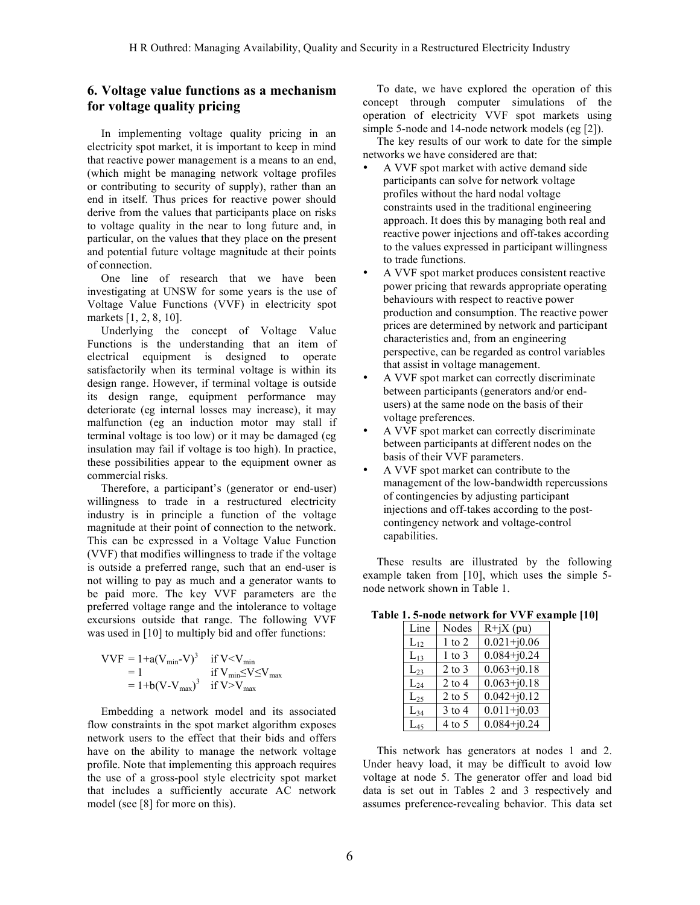## **6. Voltage value functions as a mechanism for voltage quality pricing**

In implementing voltage quality pricing in an electricity spot market, it is important to keep in mind that reactive power management is a means to an end, (which might be managing network voltage profiles or contributing to security of supply), rather than an end in itself. Thus prices for reactive power should derive from the values that participants place on risks to voltage quality in the near to long future and, in particular, on the values that they place on the present and potential future voltage magnitude at their points of connection.

One line of research that we have been investigating at UNSW for some years is the use of Voltage Value Functions (VVF) in electricity spot markets [1, 2, 8, 10].

Underlying the concept of Voltage Value Functions is the understanding that an item of electrical equipment is designed to operate satisfactorily when its terminal voltage is within its design range. However, if terminal voltage is outside its design range, equipment performance may deteriorate (eg internal losses may increase), it may malfunction (eg an induction motor may stall if terminal voltage is too low) or it may be damaged (eg insulation may fail if voltage is too high). In practice, these possibilities appear to the equipment owner as commercial risks.

Therefore, a participant's (generator or end-user) willingness to trade in a restructured electricity industry is in principle a function of the voltage magnitude at their point of connection to the network. This can be expressed in a Voltage Value Function (VVF) that modifies willingness to trade if the voltage is outside a preferred range, such that an end-user is not willing to pay as much and a generator wants to be paid more. The key VVF parameters are the preferred voltage range and the intolerance to voltage excursions outside that range. The following VVF was used in [10] to multiply bid and offer functions:

$$
VVF = 1+a(V_{min}-V)^{3}
$$
 if V < V<sub>min</sub>  
= 1  
= 1+b(V-V<sub>max</sub>)<sup>3</sup> if V<sub>min</sub>≤V≤V<sub>max</sub>  
if V > V<sub>max</sub>

Embedding a network model and its associated flow constraints in the spot market algorithm exposes network users to the effect that their bids and offers have on the ability to manage the network voltage profile. Note that implementing this approach requires the use of a gross-pool style electricity spot market that includes a sufficiently accurate AC network model (see [8] for more on this).

To date, we have explored the operation of this concept through computer simulations of the operation of electricity VVF spot markets using simple 5-node and 14-node network models (eg [2]).

The key results of our work to date for the simple networks we have considered are that:

- A VVF spot market with active demand side participants can solve for network voltage profiles without the hard nodal voltage constraints used in the traditional engineering approach. It does this by managing both real and reactive power injections and off-takes according to the values expressed in participant willingness to trade functions.
- A VVF spot market produces consistent reactive power pricing that rewards appropriate operating behaviours with respect to reactive power production and consumption. The reactive power prices are determined by network and participant characteristics and, from an engineering perspective, can be regarded as control variables that assist in voltage management.
- A VVF spot market can correctly discriminate between participants (generators and/or endusers) at the same node on the basis of their voltage preferences.
- A VVF spot market can correctly discriminate between participants at different nodes on the basis of their VVF parameters.
- A VVF spot market can contribute to the management of the low-bandwidth repercussions of contingencies by adjusting participant injections and off-takes according to the postcontingency network and voltage-control capabilities.

These results are illustrated by the following example taken from [10], which uses the simple 5 node network shown in Table 1.

| Line     | Nodes      | $R+jX$ (pu)     |
|----------|------------|-----------------|
| $L_{12}$ | $1$ to $2$ | $0.021 + j0.06$ |
| $L_{13}$ | $1$ to $3$ | $0.084 + j0.24$ |
| $L_{23}$ | $2$ to $3$ | $0.063 + j0.18$ |
| $L_{24}$ | $2$ to $4$ | $0.063 + j0.18$ |
| $L_{25}$ | $2$ to 5   | $0.042 + j0.12$ |
| $L_{34}$ | $3$ to 4   | $0.011 + j0.03$ |
| $L_{45}$ | $4$ to 5   | $0.084 + j0.24$ |

**Table 1. 5-node network for VVF example [10]**

This network has generators at nodes 1 and 2. Under heavy load, it may be difficult to avoid low voltage at node 5. The generator offer and load bid data is set out in Tables 2 and 3 respectively and assumes preference-revealing behavior. This data set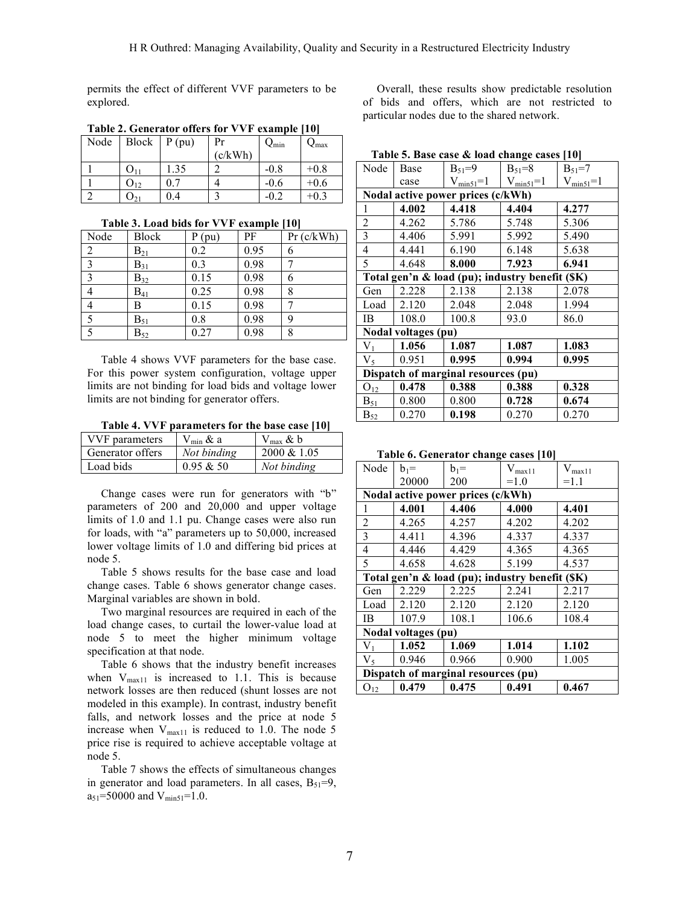permits the effect of different VVF parameters to be explored.

| Node |                   | Block $P(pu)$ | Pr      | $Q_{\rm min}$ | $\mathcal{Q}_{\text{max}}$ |  |  |  |
|------|-------------------|---------------|---------|---------------|----------------------------|--|--|--|
|      |                   |               | (c/kWh) |               |                            |  |  |  |
|      | $\mathrm{O}_{11}$ | 1.35          |         | $-0.8$        | $+0.8$                     |  |  |  |
|      | $J_{12}$          |               |         | $-0.6$        | $+0.6$                     |  |  |  |
|      | برر               | 0.4           |         | -0.2          | $+0.3$                     |  |  |  |

**Table 2. Generator offers for VVF example [10]**

| Table 3. Load bids for VVF example [10] |  |  |  |  |  |
|-----------------------------------------|--|--|--|--|--|
|-----------------------------------------|--|--|--|--|--|

| Node          | <b>Block</b>      | P(pu) | PF   | Pr(c/kWh) |
|---------------|-------------------|-------|------|-----------|
| $\mathcal{D}$ | $B_{21}$          | 0.2   | 0.95 |           |
| 3             | $B_{31}$          | 0.3   | 0.98 |           |
| $\mathbf{P}$  | $B_{32}$          | 0.15  | 0.98 |           |
|               | $B_{41}$          | 0.25  | 0.98 |           |
|               | В                 | 0.15  | 0.98 |           |
|               | $B_{51}$          | 0.8   | 0.98 |           |
|               | $\mathrm{B}_{52}$ | 0.27  | 0.98 |           |

5  $\mid B_{52}$  | 0.27 | 0.98 | 8 Table 4 shows VVF parameters for the base case. For this power system configuration, voltage upper

limits are not binding for load bids and voltage lower

limits are not binding for generator offers.

**Table 4. VVF parameters for the base case [10]**

| <b>VVF</b> parameters | $V_{\min}$ & a | $V_{\text{max}}$ & b |
|-----------------------|----------------|----------------------|
| Generator offers      | Not binding    | $2000 \& 1.05$       |
| Load bids             | 0.95 & 50      | Not binding          |

Change cases were run for generators with "b" parameters of 200 and 20,000 and upper voltage limits of 1.0 and 1.1 pu. Change cases were also run for loads, with "a" parameters up to 50,000, increased lower voltage limits of 1.0 and differing bid prices at node 5.

Table 5 shows results for the base case and load change cases. Table 6 shows generator change cases. Marginal variables are shown in bold.

Two marginal resources are required in each of the load change cases, to curtail the lower-value load at node 5 to meet the higher minimum voltage specification at that node.

Table 6 shows that the industry benefit increases when  $V_{\text{max}11}$  is increased to 1.1. This is because network losses are then reduced (shunt losses are not modeled in this example). In contrast, industry benefit falls, and network losses and the price at node 5 increase when  $V_{max11}$  is reduced to 1.0. The node 5 price rise is required to achieve acceptable voltage at node 5.

Table 7 shows the effects of simultaneous changes in generator and load parameters. In all cases,  $B_{51}=9$ ,  $a_{51}$ =50000 and V<sub>min51</sub>=1.0.

Overall, these results show predictable resolution of bids and offers, which are not restricted to particular nodes due to the shared network.

**Table 5. Base case & load change cases [10]**

| Node                                | Base  | $B_{51} = 9$                                    | $B_{51} = 8$         | $B_{51} = 7$           |  |  |  |
|-------------------------------------|-------|-------------------------------------------------|----------------------|------------------------|--|--|--|
|                                     | case  | $V_{\text{min51}}$ =1                           | $V_{\text{min51}}=1$ | $V_{\text{min51}} = 1$ |  |  |  |
| Nodal active power prices (c/kWh)   |       |                                                 |                      |                        |  |  |  |
| 1                                   | 4.002 | 4.418                                           | 4.404                | 4.277                  |  |  |  |
| $\overline{2}$                      | 4.262 | 5.786                                           | 5.748                | 5.306                  |  |  |  |
| 3                                   | 4.406 | 5.991                                           | 5.992                | 5.490                  |  |  |  |
| 4                                   | 4.441 | 6.190                                           | 6.148                | 5.638                  |  |  |  |
| 5                                   | 4.648 | 8.000                                           | 7.923                | 6.941                  |  |  |  |
|                                     |       | Total gen'n & load (pu); industry benefit (\$K) |                      |                        |  |  |  |
| Gen                                 | 2.228 | 2.138                                           | 2.138                | 2.078                  |  |  |  |
| Load                                | 2.120 | 2.048                                           | 2.048                | 1.994                  |  |  |  |
| IB                                  | 108.0 | 100.8                                           | 93.0                 | 86.0                   |  |  |  |
| Nodal voltages (pu)                 |       |                                                 |                      |                        |  |  |  |
| $V_1$                               | 1.056 | 1.087                                           | 1.087                | 1.083                  |  |  |  |
| $V_5$                               | 0.951 | 0.995                                           | 0.994                | 0.995                  |  |  |  |
| Dispatch of marginal resources (pu) |       |                                                 |                      |                        |  |  |  |
| $O_{12}$                            | 0.478 | 0.388                                           | 0.388                | 0.328                  |  |  |  |
| $B_{51}$                            | 0.800 | 0.800                                           | 0.728                | 0.674                  |  |  |  |
| $B_{52}$                            | 0.270 | 0.198                                           | 0.270                | 0.270                  |  |  |  |

| Table 6. Generator change cases [10] |  |  |  |  |  |  |  |
|--------------------------------------|--|--|--|--|--|--|--|
|--------------------------------------|--|--|--|--|--|--|--|

| Node                                            | $b_1 =$ | $b_1 =$                             | $V_{max11}$ | $V_{max11}$ |  |  |  |
|-------------------------------------------------|---------|-------------------------------------|-------------|-------------|--|--|--|
|                                                 | 20000   | 200                                 | $=1.0$      | $=1.1$      |  |  |  |
| Nodal active power prices (c/kWh)               |         |                                     |             |             |  |  |  |
| 1                                               | 4.001   | 4.406                               | 4.000       | 4.401       |  |  |  |
| $\overline{2}$                                  | 4.265   | 4.257                               | 4.202       | 4.202       |  |  |  |
| $\overline{3}$                                  | 4.411   | 4.396                               | 4.337       | 4.337       |  |  |  |
| $\overline{4}$                                  | 4.446   | 4.429                               | 4.365       | 4.365       |  |  |  |
| 5                                               | 4.658   | 4.628                               | 5.199       | 4.537       |  |  |  |
| Total gen'n & load (pu); industry benefit (\$K) |         |                                     |             |             |  |  |  |
| Gen                                             | 2.229   | 2.225                               | 2.241       | 2.217       |  |  |  |
| Load                                            | 2.120   | 2.120                               | 2.120       | 2.120       |  |  |  |
| <b>IB</b>                                       | 107.9   | 108.1                               | 106.6       | 108.4       |  |  |  |
| <b>Nodal voltages (pu)</b>                      |         |                                     |             |             |  |  |  |
| $V_1$                                           | 1.052   | 1.069                               | 1.014       | 1.102       |  |  |  |
| $V_5$                                           | 0.946   | 0.966                               | 0.900       | 1.005       |  |  |  |
|                                                 |         | Dispatch of marginal resources (pu) |             |             |  |  |  |
| $O_{12}$                                        | 0.479   | 0.475                               | 0.491       | 0.467       |  |  |  |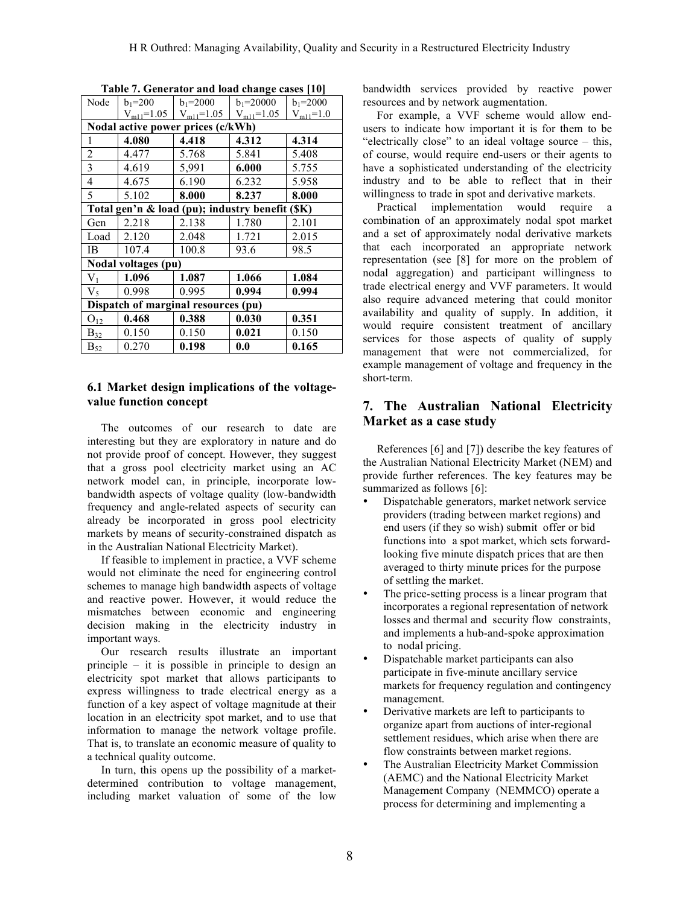|                     |                                     | Table 7. Ocherator and load enange cases [10]   |                  |                 |  |  |  |
|---------------------|-------------------------------------|-------------------------------------------------|------------------|-----------------|--|--|--|
| Node                | $b_1 = 200$                         | $b_1 = 2000$                                    | $b_1 = 20000$    | $b_1 = 2000$    |  |  |  |
|                     |                                     | $V_{m11}$ =1.05   $V_{m11}$ =1.05               | $V_{m11} = 1.05$ | $V_{m11} = 1.0$ |  |  |  |
|                     |                                     | Nodal active power prices (c/kWh)               |                  |                 |  |  |  |
| 1                   | 4.080                               | 4.418                                           | 4.312            | 4.314           |  |  |  |
| 2                   | 4.477                               | 5.768                                           | 5.841            | 5.408           |  |  |  |
| 3                   | 4.619                               | 5,991                                           | 6.000            | 5.755           |  |  |  |
| 4                   | 4.675                               | 6.190                                           | 6.232            | 5.958           |  |  |  |
| 5                   | 5.102                               | 8.000                                           | 8.237            | 8.000           |  |  |  |
|                     |                                     | Total gen'n & load (pu); industry benefit (\$K) |                  |                 |  |  |  |
| Gen                 | 2.218                               | 2.138                                           | 1.780            | 2.101           |  |  |  |
| Load                | 2.120                               | 2.048                                           | 1.721            | 2.015           |  |  |  |
| IB                  | 107.4                               | 100.8                                           | 93.6             | 98.5            |  |  |  |
| Nodal voltages (pu) |                                     |                                                 |                  |                 |  |  |  |
| ${\rm V_1}$         | 1.096                               | 1.087                                           | 1.066            | 1.084           |  |  |  |
| $V_5$               | 0.998                               | 0.995                                           | 0.994            | 0.994           |  |  |  |
|                     | Dispatch of marginal resources (pu) |                                                 |                  |                 |  |  |  |
| $O_{12}$            | 0.468                               | 0.388                                           | 0.030            | 0.351           |  |  |  |
| $B_{32}$            | 0.150                               | 0.150                                           | 0.021            | 0.150           |  |  |  |
| $B_{52}$            | 0.270                               | 0.198                                           | 0.0              | 0.165           |  |  |  |

**Table 7. Generator and load change cases [10]**

### **6.1 Market design implications of the voltagevalue function concept**

The outcomes of our research to date are interesting but they are exploratory in nature and do not provide proof of concept. However, they suggest that a gross pool electricity market using an AC network model can, in principle, incorporate lowbandwidth aspects of voltage quality (low-bandwidth frequency and angle-related aspects of security can already be incorporated in gross pool electricity markets by means of security-constrained dispatch as in the Australian National Electricity Market).

If feasible to implement in practice, a VVF scheme would not eliminate the need for engineering control schemes to manage high bandwidth aspects of voltage and reactive power. However, it would reduce the mismatches between economic and engineering decision making in the electricity industry in important ways.

Our research results illustrate an important principle – it is possible in principle to design an electricity spot market that allows participants to express willingness to trade electrical energy as a function of a key aspect of voltage magnitude at their location in an electricity spot market, and to use that information to manage the network voltage profile. That is, to translate an economic measure of quality to a technical quality outcome.

In turn, this opens up the possibility of a marketdetermined contribution to voltage management, including market valuation of some of the low

bandwidth services provided by reactive power resources and by network augmentation.

For example, a VVF scheme would allow endusers to indicate how important it is for them to be "electrically close" to an ideal voltage source – this, of course, would require end-users or their agents to have a sophisticated understanding of the electricity industry and to be able to reflect that in their willingness to trade in spot and derivative markets.

Practical implementation would require a combination of an approximately nodal spot market and a set of approximately nodal derivative markets that each incorporated an appropriate network representation (see [8] for more on the problem of nodal aggregation) and participant willingness to trade electrical energy and VVF parameters. It would also require advanced metering that could monitor availability and quality of supply. In addition, it would require consistent treatment of ancillary services for those aspects of quality of supply management that were not commercialized, for example management of voltage and frequency in the short-term.

## **7. The Australian National Electricity Market as a case study**

References [6] and [7]) describe the key features of the Australian National Electricity Market (NEM) and provide further references. The key features may be summarized as follows [6]:

- Dispatchable generators, market network service providers (trading between market regions) and end users (if they so wish) submit offer or bid functions into a spot market, which sets forwardlooking five minute dispatch prices that are then averaged to thirty minute prices for the purpose of settling the market.
- The price-setting process is a linear program that incorporates a regional representation of network losses and thermal and security flow constraints, and implements a hub-and-spoke approximation to nodal pricing.
- Dispatchable market participants can also participate in five-minute ancillary service markets for frequency regulation and contingency management.
- Derivative markets are left to participants to organize apart from auctions of inter-regional settlement residues, which arise when there are flow constraints between market regions.
- The Australian Electricity Market Commission (AEMC) and the National Electricity Market Management Company (NEMMCO) operate a process for determining and implementing a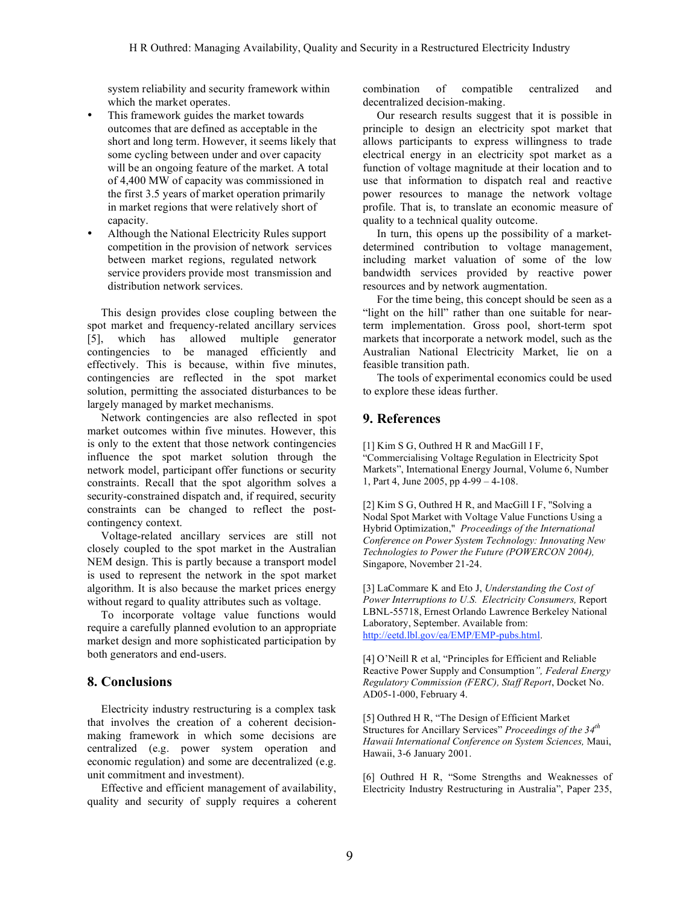system reliability and security framework within which the market operates.

- This framework guides the market towards outcomes that are defined as acceptable in the short and long term. However, it seems likely that some cycling between under and over capacity will be an ongoing feature of the market. A total of 4,400 MW of capacity was commissioned in the first 3.5 years of market operation primarily in market regions that were relatively short of capacity.
- Although the National Electricity Rules support competition in the provision of network services between market regions, regulated network service providers provide most transmission and distribution network services.

This design provides close coupling between the spot market and frequency-related ancillary services [5], which has allowed multiple generator contingencies to be managed efficiently and effectively. This is because, within five minutes, contingencies are reflected in the spot market solution, permitting the associated disturbances to be largely managed by market mechanisms.

Network contingencies are also reflected in spot market outcomes within five minutes. However, this is only to the extent that those network contingencies influence the spot market solution through the network model, participant offer functions or security constraints. Recall that the spot algorithm solves a security-constrained dispatch and, if required, security constraints can be changed to reflect the postcontingency context.

Voltage-related ancillary services are still not closely coupled to the spot market in the Australian NEM design. This is partly because a transport model is used to represent the network in the spot market algorithm. It is also because the market prices energy without regard to quality attributes such as voltage.

To incorporate voltage value functions would require a carefully planned evolution to an appropriate market design and more sophisticated participation by both generators and end-users.

## **8. Conclusions**

Electricity industry restructuring is a complex task that involves the creation of a coherent decisionmaking framework in which some decisions are centralized (e.g. power system operation and economic regulation) and some are decentralized (e.g. unit commitment and investment).

Effective and efficient management of availability, quality and security of supply requires a coherent combination of compatible centralized and decentralized decision-making.

Our research results suggest that it is possible in principle to design an electricity spot market that allows participants to express willingness to trade electrical energy in an electricity spot market as a function of voltage magnitude at their location and to use that information to dispatch real and reactive power resources to manage the network voltage profile. That is, to translate an economic measure of quality to a technical quality outcome.

In turn, this opens up the possibility of a marketdetermined contribution to voltage management, including market valuation of some of the low bandwidth services provided by reactive power resources and by network augmentation.

For the time being, this concept should be seen as a "light on the hill" rather than one suitable for nearterm implementation. Gross pool, short-term spot markets that incorporate a network model, such as the Australian National Electricity Market, lie on a feasible transition path.

The tools of experimental economics could be used to explore these ideas further.

## **9. References**

[1] Kim S G, Outhred H R and MacGill I F, "Commercialising Voltage Regulation in Electricity Spot Markets", International Energy Journal, Volume 6, Number 1, Part 4, June 2005, pp 4-99 – 4-108.

[2] Kim S G, Outhred H R, and MacGill I F, "Solving a Nodal Spot Market with Voltage Value Functions Using a Hybrid Optimization," *Proceedings of the International Conference on Power System Technology: Innovating New Technologies to Power the Future (POWERCON 2004),* Singapore, November 21-24.

[3] LaCommare K and Eto J, *Understanding the Cost of Power Interruptions to U.S. Electricity Consumers,* Report LBNL-55718, Ernest Orlando Lawrence Berkeley National Laboratory, September. Available from: http://eetd.lbl.gov/ea/EMP/EMP-pubs.html.

[4] O'Neill R et al, "Principles for Efficient and Reliable Reactive Power Supply and Consumption*", Federal Energy Regulatory Commission (FERC), Staff Report*, Docket No. AD05-1-000, February 4.

[5] Outhred H R, "The Design of Efficient Market Structures for Ancillary Services" *Proceedings of the 34th Hawaii International Conference on System Sciences,* Maui, Hawaii, 3-6 January 2001.

[6] Outhred H R, "Some Strengths and Weaknesses of Electricity Industry Restructuring in Australia", Paper 235,